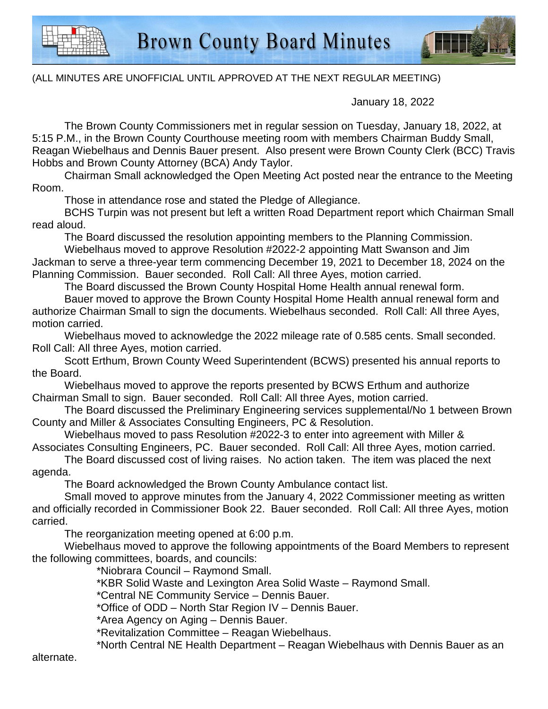

## (ALL MINUTES ARE UNOFFICIAL UNTIL APPROVED AT THE NEXT REGULAR MEETING)

January 18, 2022

The Brown County Commissioners met in regular session on Tuesday, January 18, 2022, at 5:15 P.M., in the Brown County Courthouse meeting room with members Chairman Buddy Small, Reagan Wiebelhaus and Dennis Bauer present. Also present were Brown County Clerk (BCC) Travis Hobbs and Brown County Attorney (BCA) Andy Taylor.

Chairman Small acknowledged the Open Meeting Act posted near the entrance to the Meeting Room.

Those in attendance rose and stated the Pledge of Allegiance.

BCHS Turpin was not present but left a written Road Department report which Chairman Small read aloud.

The Board discussed the resolution appointing members to the Planning Commission. Wiebelhaus moved to approve Resolution #2022-2 appointing Matt Swanson and Jim

Jackman to serve a three-year term commencing December 19, 2021 to December 18, 2024 on the Planning Commission. Bauer seconded. Roll Call: All three Ayes, motion carried.

The Board discussed the Brown County Hospital Home Health annual renewal form.

Bauer moved to approve the Brown County Hospital Home Health annual renewal form and authorize Chairman Small to sign the documents. Wiebelhaus seconded. Roll Call: All three Ayes, motion carried.

Wiebelhaus moved to acknowledge the 2022 mileage rate of 0.585 cents. Small seconded. Roll Call: All three Ayes, motion carried.

Scott Erthum, Brown County Weed Superintendent (BCWS) presented his annual reports to the Board.

Wiebelhaus moved to approve the reports presented by BCWS Erthum and authorize Chairman Small to sign. Bauer seconded. Roll Call: All three Ayes, motion carried.

The Board discussed the Preliminary Engineering services supplemental/No 1 between Brown County and Miller & Associates Consulting Engineers, PC & Resolution.

Wiebelhaus moved to pass Resolution #2022-3 to enter into agreement with Miller &

Associates Consulting Engineers, PC. Bauer seconded. Roll Call: All three Ayes, motion carried. The Board discussed cost of living raises. No action taken. The item was placed the next

agenda.

The Board acknowledged the Brown County Ambulance contact list.

Small moved to approve minutes from the January 4, 2022 Commissioner meeting as written and officially recorded in Commissioner Book 22. Bauer seconded. Roll Call: All three Ayes, motion carried.

The reorganization meeting opened at 6:00 p.m.

Wiebelhaus moved to approve the following appointments of the Board Members to represent the following committees, boards, and councils:

\*Niobrara Council – Raymond Small.

\*KBR Solid Waste and Lexington Area Solid Waste – Raymond Small.

\*Central NE Community Service – Dennis Bauer.

\*Office of ODD – North Star Region IV – Dennis Bauer.

\*Area Agency on Aging – Dennis Bauer.

\*Revitalization Committee – Reagan Wiebelhaus.

\*North Central NE Health Department – Reagan Wiebelhaus with Dennis Bauer as an

alternate.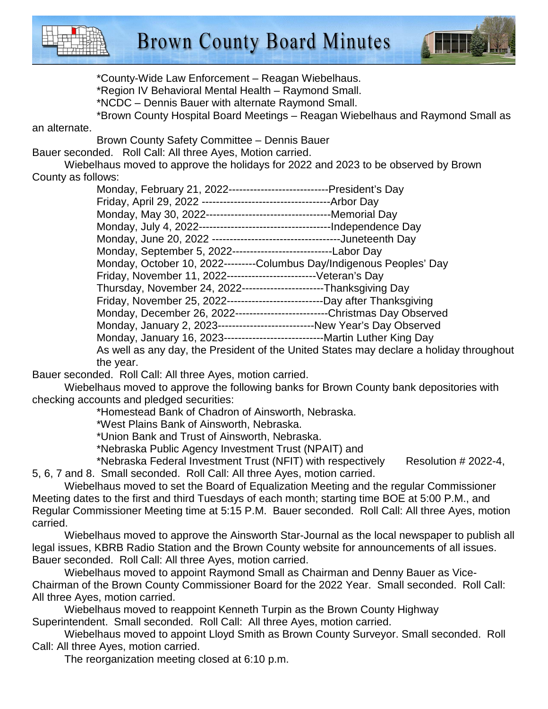

**Brown County Board Minutes** 



\*County-Wide Law Enforcement – Reagan Wiebelhaus.

\*Region IV Behavioral Mental Health – Raymond Small.

\*NCDC – Dennis Bauer with alternate Raymond Small.

\*Brown County Hospital Board Meetings – Reagan Wiebelhaus and Raymond Small as

an alternate.

Brown County Safety Committee – Dennis Bauer

Bauer seconded. Roll Call: All three Ayes, Motion carried.

Wiebelhaus moved to approve the holidays for 2022 and 2023 to be observed by Brown County as follows:

| Monday, February 21, 2022-------------------------------President's Day                 |
|-----------------------------------------------------------------------------------------|
|                                                                                         |
|                                                                                         |
| Monday, July 4, 2022---<br>-----------------------------------Independence Day          |
|                                                                                         |
| Monday, September 5, 2022--------------------------<br>-Labor Day                       |
| Monday, October 10, 2022---------Columbus Day/Indigenous Peoples' Day                   |
| ---------------------<br>Friday, November 11, 2022--<br>--Veteran's Day                 |
| Thursday, November 24, 2022-------------------------Thanksgiving Day                    |
| ----------------------Day after Thanksgiving<br>Friday, November 25, 2022--             |
| Monday, December 26, 2022-------------------------Christmas Day Observed                |
| -----------------------New Year's Day Observed<br>Monday, January 2, 2023--             |
| Monday, January 16, 2023-------------------------------Martin Luther King Day           |
| As well as any day, the President of the United States may declare a holiday throughout |
| the year.                                                                               |

Bauer seconded. Roll Call: All three Ayes, motion carried.

Wiebelhaus moved to approve the following banks for Brown County bank depositories with checking accounts and pledged securities:

\*Homestead Bank of Chadron of Ainsworth, Nebraska.

\*West Plains Bank of Ainsworth, Nebraska.

\*Union Bank and Trust of Ainsworth, Nebraska.

\*Nebraska Public Agency Investment Trust (NPAIT) and

\*Nebraska Federal Investment Trust (NFIT) with respectively Resolution # 2022-4, 5, 6, 7 and 8. Small seconded. Roll Call: All three Ayes, motion carried.

Wiebelhaus moved to set the Board of Equalization Meeting and the regular Commissioner Meeting dates to the first and third Tuesdays of each month; starting time BOE at 5:00 P.M., and Regular Commissioner Meeting time at 5:15 P.M. Bauer seconded. Roll Call: All three Ayes, motion carried.

Wiebelhaus moved to approve the Ainsworth Star-Journal as the local newspaper to publish all legal issues, KBRB Radio Station and the Brown County website for announcements of all issues. Bauer seconded. Roll Call: All three Ayes, motion carried.

Wiebelhaus moved to appoint Raymond Small as Chairman and Denny Bauer as Vice-Chairman of the Brown County Commissioner Board for the 2022 Year. Small seconded. Roll Call: All three Ayes, motion carried.

Wiebelhaus moved to reappoint Kenneth Turpin as the Brown County Highway Superintendent. Small seconded. Roll Call: All three Ayes, motion carried.

Wiebelhaus moved to appoint Lloyd Smith as Brown County Surveyor. Small seconded. Roll Call: All three Ayes, motion carried.

The reorganization meeting closed at 6:10 p.m.